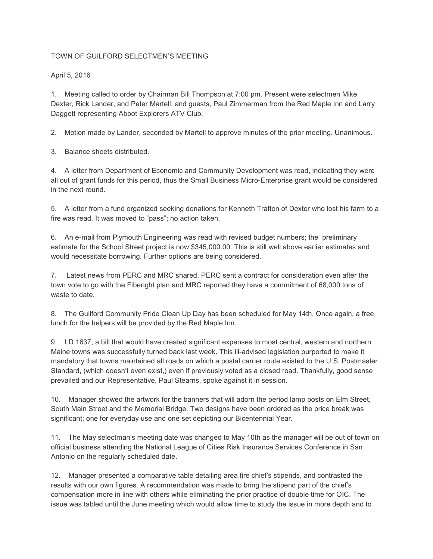## TOWN OF GUILFORD SELECTMEN'S MEETING

April 5, 2016

1. Meeting called to order by Chairman Bill Thompson at 7:00 pm. Present were selectmen Mike Dexter, Rick Lander, and Peter Martell, and guests, Paul Zimmerman from the Red Maple Inn and Larry Daggett representing Abbot Explorers ATV Club.

2. Motion made by Lander, seconded by Martell to approve minutes of the prior meeting. Unanimous.

3. Balance sheets distributed.

4. A letter from Department of Economic and Community Development was read, indicating they were all out of grant funds for this period, thus the Small Business Micro-Enterprise grant would be considered in the next round.

5. A letter from a fund organized seeking donations for Kenneth Trafton of Dexter who lost his farm to a fire was read. It was moved to "pass"; no action taken.

6. An e-mail from Plymouth Engineering was read with revised budget numbers; the preliminary estimate for the School Street project is now \$345,000.00. This is still well above earlier estimates and would necessitate borrowing. Further options are being considered.

7. Latest news from PERC and MRC shared. PERC sent a contract for consideration even after the town vote to go with the Fiberight plan and MRC reported they have a commitment of 68,000 tons of waste to date.

8. The Guilford Community Pride Clean Up Day has been scheduled for May 14th. Once again, a free lunch for the helpers will be provided by the Red Maple Inn.

9. LD 1637, a bill that would have created significant expenses to most central, western and northern Maine towns was successfully turned back last week. This ill-advised legislation purported to make it mandatory that towns maintained all roads on which a postal carrier route existed to the U.S. Postmaster Standard, (which doesn't even exist,) even if previously voted as a closed road. Thankfully, good sense prevailed and our Representative, Paul Stearns, spoke against it in session.

10. Manager showed the artwork for the banners that will adorn the period lamp posts on Elm Street, South Main Street and the Memorial Bridge. Two designs have been ordered as the price break was significant; one for everyday use and one set depicting our Bicentennial Year.

11. The May selectman's meeting date was changed to May 10th as the manager will be out of town on official business attending the National League of Cities Risk Insurance Services Conference in San Antonio on the regularly scheduled date.

12. Manager presented a comparative table detailing area fire chief's stipends, and contrasted the results with our own figures. A recommendation was made to bring the stipend part of the chief's compensation more in line with others while eliminating the prior practice of double time for OIC. The issue was tabled until the June meeting which would allow time to study the issue in more depth and to